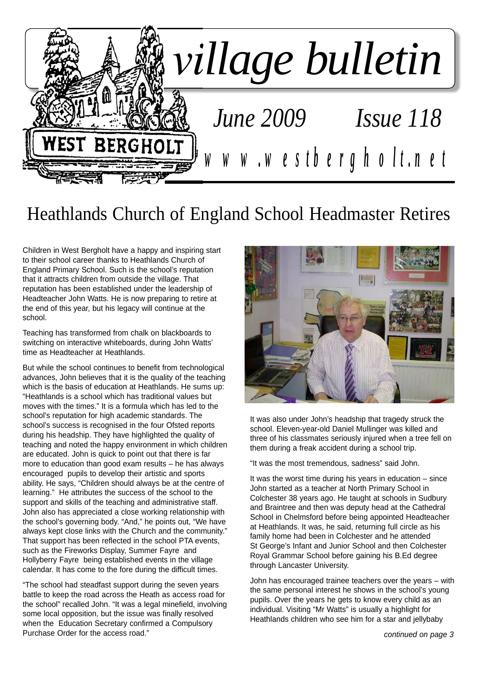

## Heathlands Church of England School Headmaster Retires

Children in West Bergholt have a happy and inspiring start to their school career thanks to Heathlands Church of England Primary School. Such is the school's reputation that it attracts children from outside the village. That reputation has been established under the leadership of Headteacher John Watts. He is now preparing to retire at the end of this year, but his legacy will continue at the school.

Teaching has transformed from chalk on blackboards to switching on interactive whiteboards, during John Watts' time as Headteacher at Heathlands.

But while the school continues to benefit from technological advances, John believes that it is the quality of the teaching which is the basis of education at Heathlands. He sums up: "Heathlands is a school which has traditional values but moves with the times." It is a formula which has led to the school's reputation for high academic standards. The school's success is recognised in the four Ofsted reports during his headship. They have highlighted the quality of teaching and noted the happy environment in which children are educated. John is quick to point out that there is far more to education than good exam results – he has always encouraged pupils to develop their artistic and sports ability. He says, "Children should always be at the centre of learning." He attributes the success of the school to the support and skills of the teaching and administrative staff. John also has appreciated a close working relationship with the school's governing body. "And," he points out, "We have always kept close links with the Church and the community." That support has been reflected in the school PTA events, such as the Fireworks Display, Summer Fayre and Hollyberry Fayre being established events in the village calendar. It has come to the fore during the difficult times.

"The school had steadfast support during the seven years battle to keep the road across the Heath as access road for the school" recalled John. "It was a legal minefield, involving some local opposition, but the issue was finally resolved when the Education Secretary confirmed a Compulsory Purchase Order for the access road."



It was also under John's headship that tragedy struck the school. Eleven-year-old Daniel Mullinger was killed and three of his classmates seriously injured when a tree fell on them during a freak accident during a school trip.

"It was the most tremendous, sadness" said John.

It was the worst time during his years in education  $-$  since John started as a teacher at North Primary School in Colchester 38 years ago. He taught at schools in Sudbury and Braintree and then was deputy head at the Cathedral School in Chelmsford before being appointed Headteacher at Heathlands. It was, he said, returning full circle as his family home had been in Colchester and he attended St George's Infant and Junior School and then Colchester Royal Grammar School before gaining his B.Ed degree through Lancaster University.

John has encouraged trainee teachers over the years – with the same personal interest he shows in the school's young pupils. Over the years he gets to know every child as an individual. Visiting "Mr Watts" is usually a highlight for Heathlands children who see him for a star and jellybaby

*continued on page 3*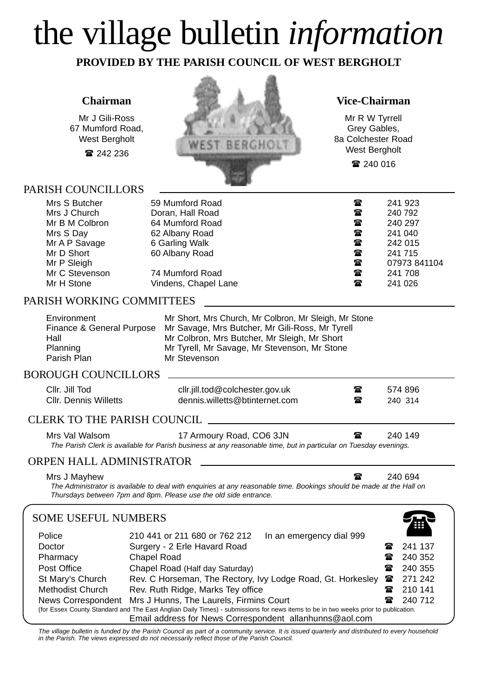# the village bulletin *information*

**PROVIDED BY THE PARISH COUNCIL OF WEST BERGHOLT**

#### **Chairman**

Mr J Gili-Ross 67 Mumford Road, West Bergholt

■ 242 236

#### PARISH COUNCILLORS



#### **Vice-Chairman**

Mr R W Tyrrell Grey Gables, 8a Colchester Road West Bergholt ■ 240 016

| Mrs S Butcher  | 59 Mumford Road      | ☎            | 241 923      |
|----------------|----------------------|--------------|--------------|
| Mrs J Church   | Doran, Hall Road     | $\mathbf{r}$ | 240 792      |
| Mr B M Colbron | 64 Mumford Road      | ☎            | 240 297      |
| Mrs S Day      | 62 Albany Road       | $\mathbf{r}$ | 241 040      |
| Mr A P Savage  | 6 Garling Walk       | ☎            | 242 015      |
| Mr D Short     | 60 Albany Road       | $\mathbf{r}$ | 241 715      |
| Mr P Sleigh    |                      | ☎            | 07973 841104 |
| Mr C Stevenson | 74 Mumford Road      | $\mathbf{r}$ | 241 708      |
| Mr H Stone     | Vindens, Chapel Lane | $\mathbf{r}$ | 241 026      |
|                |                      |              |              |

#### PARISH WORKING COMMITTEES

| Environment               | Mr Short, Mrs Church, Mr Colbron, Mr Sleigh, Mr Stone |
|---------------------------|-------------------------------------------------------|
| Finance & General Purpose | Mr Savage, Mrs Butcher, Mr Gili-Ross, Mr Tyrell       |
| Hall                      | Mr Colbron, Mrs Butcher, Mr Sleigh, Mr Short          |
| Planning                  | Mr Tyrell, Mr Savage, Mr Stevenson, Mr Stone          |
| Parish Plan               | Mr Stevenson                                          |

#### BOROUGH COUNCILLORS

| Cllr. Jill Tod<br><b>CIIr. Dennis Willetts</b> | cllr.jill.tod@colchester.gov.uk<br>dennis.willetts@btinternet.com                                                                            | $\mathbf{w}$<br>$\mathbf{r}$ | 574 896<br>240 314 |
|------------------------------------------------|----------------------------------------------------------------------------------------------------------------------------------------------|------------------------------|--------------------|
| CLERK TO THE PARISH COUNCIL.                   |                                                                                                                                              |                              |                    |
| Mrs Val Walsom                                 | 17 Armoury Road, CO6 3JN<br>The Parish Clerk is available for Parish business at any reasonable time, but in particular on Tuesday evenings. | $\mathbf{r}$                 | 240 149            |

#### ORPEN HALL ADMINISTRATOR

Mrs J Mayhew  $\overline{\bullet}$  240 694

*The Administrator is available to deal with enquiries at any reasonable time. Bookings should be made at the Hall on Thursdays between 7pm and 8pm. Please use the old side entrance.*

#### SOME USEFUL NUMBERS

| SOME USEFUL NUMBERS<br>Ŧ                                                                                                           |                                                             |              |         |  |  |
|------------------------------------------------------------------------------------------------------------------------------------|-------------------------------------------------------------|--------------|---------|--|--|
| Police                                                                                                                             | 210 441 or 211 680 or 762 212<br>In an emergency dial 999   |              |         |  |  |
| Doctor                                                                                                                             | Surgery - 2 Erle Havard Road                                |              | 241 137 |  |  |
| Pharmacy                                                                                                                           | Chapel Road                                                 | ☎            | 240 352 |  |  |
| Post Office                                                                                                                        | Chapel Road (Half day Saturday)                             | ☎            | 240 355 |  |  |
| St Mary's Church                                                                                                                   | Rev. C Horseman, The Rectory, Ivy Lodge Road, Gt. Horkesley | $\mathbf{r}$ | 271 242 |  |  |
| <b>Methodist Church</b>                                                                                                            | Rev. Ruth Ridge, Marks Tey office                           | ☎            | 210 141 |  |  |
| Mrs J Hunns, The Laurels, Firmins Court<br>News Correspondent                                                                      |                                                             |              | 240 712 |  |  |
| (for Essex County Standard and The East Anglian Daily Times) - submissions for news items to be in two weeks prior to publication. |                                                             |              |         |  |  |
| Email address for News Correspondent allanhunns@aol.com                                                                            |                                                             |              |         |  |  |

*The village bulletin is funded by the Parish Council as part of a community service. It is issued quarterly and distributed to every household in the Parish. The views expressed do not necessarily reflect those of the Parish Council.*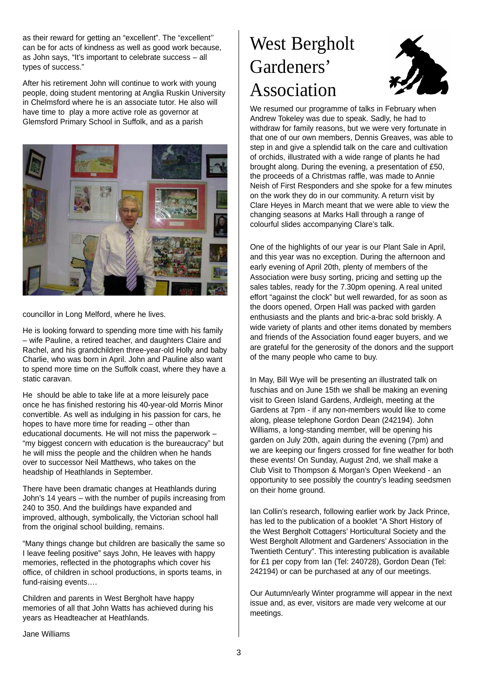as their reward for getting an "excellent". The "excellent'' can be for acts of kindness as well as good work because, as John says, "It's important to celebrate success – all types of success."

After his retirement John will continue to work with young people, doing student mentoring at Anglia Ruskin University in Chelmsford where he is an associate tutor. He also will have time to play a more active role as governor at Glemsford Primary School in Suffolk, and as a parish



councillor in Long Melford, where he lives.

He is looking forward to spending more time with his family – wife Pauline, a retired teacher, and daughters Claire and Rachel, and his grandchildren three-year-old Holly and baby Charlie, who was born in April. John and Pauline also want to spend more time on the Suffolk coast, where they have a static caravan.

He should be able to take life at a more leisurely pace once he has finished restoring his 40-year-old Morris Minor convertible. As well as indulging in his passion for cars, he hopes to have more time for reading – other than educational documents. He will not miss the paperwork – "my biggest concern with education is the bureaucracy" but he will miss the people and the children when he hands over to successor Neil Matthews, who takes on the headship of Heathlands in September.

There have been dramatic changes at Heathlands during John's 14 years – with the number of pupils increasing from 240 to 350. And the buildings have expanded and improved, although, symbolically, the Victorian school hall from the original school building, remains.

"Many things change but children are basically the same so I leave feeling positive" says John, He leaves with happy memories, reflected in the photographs which cover his office, of children in school productions, in sports teams, in fund-raising events….

Children and parents in West Bergholt have happy memories of all that John Watts has achieved during his years as Headteacher at Heathlands.

## West Bergholt Gardeners' Association



We resumed our programme of talks in February when Andrew Tokeley was due to speak. Sadly, he had to withdraw for family reasons, but we were very fortunate in that one of our own members, Dennis Greaves, was able to step in and give a splendid talk on the care and cultivation of orchids, illustrated with a wide range of plants he had brought along. During the evening, a presentation of £50, the proceeds of a Christmas raffle, was made to Annie Neish of First Responders and she spoke for a few minutes on the work they do in our community. A return visit by Clare Heyes in March meant that we were able to view the changing seasons at Marks Hall through a range of colourful slides accompanying Clare's talk.

One of the highlights of our year is our Plant Sale in April, and this year was no exception. During the afternoon and early evening of April 20th, plenty of members of the Association were busy sorting, pricing and setting up the sales tables, ready for the 7.30pm opening. A real united effort "against the clock" but well rewarded, for as soon as the doors opened, Orpen Hall was packed with garden enthusiasts and the plants and bric-a-brac sold briskly. A wide variety of plants and other items donated by members and friends of the Association found eager buyers, and we are grateful for the generosity of the donors and the support of the many people who came to buy.

In May, Bill Wye will be presenting an illustrated talk on fuschias and on June 15th we shall be making an evening visit to Green Island Gardens, Ardleigh, meeting at the Gardens at 7pm - if any non-members would like to come along, please telephone Gordon Dean (242194). John Williams, a long-standing member, will be opening his garden on July 20th, again during the evening (7pm) and we are keeping our fingers crossed for fine weather for both these events! On Sunday, August 2nd, we shall make a Club Visit to Thompson & Morgan's Open Weekend - an opportunity to see possibly the country's leading seedsmen on their home ground.

Ian Collin's research, following earlier work by Jack Prince, has led to the publication of a booklet "A Short History of the West Bergholt Cottagers' Horticultural Society and the West Bergholt Allotment and Gardeners' Association in the Twentieth Century". This interesting publication is available for £1 per copy from Ian (Tel: 240728), Gordon Dean (Tel: 242194) or can be purchased at any of our meetings.

Our Autumn/early Winter programme will appear in the next issue and, as ever, visitors are made very welcome at our meetings.

Jane Williams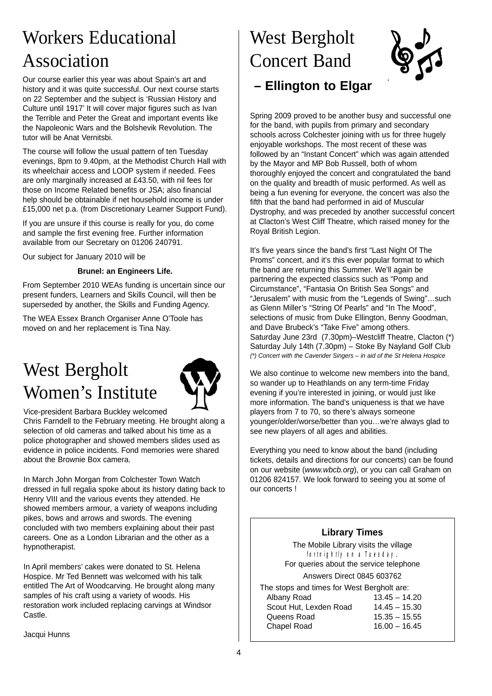## Workers Educational Association

Our course earlier this year was about Spain's art and history and it was quite successful. Our next course starts on 22 September and the subject is 'Russian History and Culture until 1917' It will cover major figures such as Ivan the Terrible and Peter the Great and important events like the Napoleonic Wars and the Bolshevik Revolution. The tutor will be Anat Vernitsbi.

The course will follow the usual pattern of ten Tuesday evenings, 8pm to 9.40pm, at the Methodist Church Hall with its wheelchair access and LOOP system if needed. Fees are only marginally increased at £43.50, with nil fees for those on Income Related benefits or JSA; also financial help should be obtainable if net household income is under £15,000 net p.a. (from Discretionary Learner Support Fund).

If you are unsure if this course is really for you, do come and sample the first evening free. Further information available from our Secretary on 01206 240791.

Our subject for January 2010 will be

#### **Brunel: an Engineers Life.**

From September 2010 WEAs funding is uncertain since our present funders, Learners and Skills Council, will then be superseded by another, the Skills and Funding Agency.

The WEA Essex Branch Organiser Anne O'Toole has moved on and her replacement is Tina Nay.

## West Bergholt Women's Institute



Vice-president Barbara Buckley welcomed

Chris Farndell to the February meeting. He brought along a selection of old cameras and talked about his time as a police photographer and showed members slides used as evidence in police incidents. Fond memories were shared about the Brownie Box camera.

In March John Morgan from Colchester Town Watch dressed in full regalia spoke about its history dating back to Henry VIII and the various events they attended. He showed members armour, a variety of weapons including pikes, bows and arrows and swords. The evening concluded with two members explaining about their past careers. One as a London Librarian and the other as a hypnotherapist.

In April members' cakes were donated to St. Helena Hospice. Mr Ted Bennett was welcomed with his talk entitled The Art of Woodcarving. He brought along many samples of his craft using a variety of woods. His restoration work included replacing carvings at Windsor Castle.

Jacqui Hunns

## West Bergholt Concert Band



**– Ellington to Elgar**

Spring 2009 proved to be another busy and successful one for the band, with pupils from primary and secondary schools across Colchester joining with us for three hugely enjoyable workshops. The most recent of these was followed by an "Instant Concert" which was again attended by the Mayor and MP Bob Russell, both of whom thoroughly enjoyed the concert and congratulated the band on the quality and breadth of music performed. As well as being a fun evening for everyone, the concert was also the fifth that the band had performed in aid of Muscular Dystrophy, and was preceded by another successful concert at Clacton's West Cliff Theatre, which raised money for the Royal British Legion.

It's five years since the band's first "Last Night Of The Proms" concert, and it's this ever popular format to which the band are returning this Summer. We'll again be partnering the expected classics such as "Pomp and Circumstance", "Fantasia On British Sea Songs" and "Jerusalem" with music from the "Legends of Swing"…such as Glenn Miller's "String Of Pearls" and "In The Mood", selections of music from Duke Ellington, Benny Goodman, and Dave Brubeck's "Take Five" among others. Saturday June 23rd (7.30pm)–Westcliff Theatre, Clacton (\*) Saturday July 14th (7.30pm) – Stoke By Nayland Golf Club *(\*) Concert with the Cavender Singers – in aid of the St Helena Hospice*

We also continue to welcome new members into the band, so wander up to Heathlands on any term-time Friday evening if you're interested in joining, or would just like more information. The band's uniqueness is that we have players from 7 to 70, so there's always someone younger/older/worse/better than you…we're always glad to see new players of all ages and abilities.

Everything you need to know about the band (including tickets, details and directions for our concerts) can be found on our website (*www.wbcb.org*), or you can call Graham on 01206 824157. We look forward to seeing you at some of our concerts !

#### **Library Times**

The Mobile Library visits the village *fortnightly on a Tuesday*. For queries about the service telephone Answers Direct 0845 603762

The stops and times for West Bergholt are: Albany Road 13.45 – 14.20 Scout Hut, Lexden Road 14.45 – 15.30 Queens Road 15.35 – 15.55 Chapel Road 16.00 – 16.45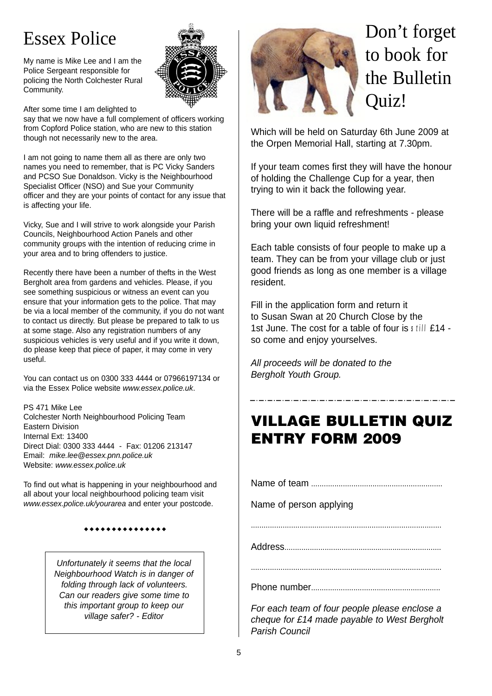## Essex Police

My name is Mike Lee and I am the Police Sergeant responsible for policing the North Colchester Rural Community.



After some time I am delighted to

say that we now have a full complement of officers working from Copford Police station, who are new to this station though not necessarily new to the area.

I am not going to name them all as there are only two names you need to remember, that is PC Vicky Sanders and PCSO Sue Donaldson. Vicky is the Neighbourhood Specialist Officer (NSO) and Sue your Community officer and they are your points of contact for any issue that is affecting your life.

Vicky, Sue and I will strive to work alongside your Parish Councils, Neighbourhood Action Panels and other community groups with the intention of reducing crime in your area and to bring offenders to justice.

Recently there have been a number of thefts in the West Bergholt area from gardens and vehicles. Please, if you see something suspicious or witness an event can you ensure that your information gets to the police. That may be via a local member of the community, if you do not want to contact us directly. But please be prepared to talk to us at some stage. Also any registration numbers of any suspicious vehicles is very useful and if you write it down. do please keep that piece of paper, it may come in very useful.

You can contact us on 0300 333 4444 or 07966197134 or via the Essex Police website *www.essex.police.uk*.

PS 471 Mike Lee Colchester North Neighbourhood Policing Team Eastern Division Internal Ext: 13400 Direct Dial: 0300 333 4444 - Fax: 01206 213147 Email: *mike.lee@essex.pnn.police.uk*  Website: *www.essex.police.uk*

To find out what is happening in your neighbourhood and all about your local neighbourhood policing team visit *www.essex.police.uk/yourarea* and enter your postcode.

#### \*\*\*\*\*\*\*\*\*\*\*\*\*

*Unfortunately it seems that the local Neighbourhood Watch is in danger of folding through lack of volunteers. Can our readers give some time to this important group to keep our village safer? - Editor*



## Don't forget to book for the Bulletin Quiz!

Which will be held on Saturday 6th June 2009 at the Orpen Memorial Hall, starting at 7.30pm.

If your team comes first they will have the honour of holding the Challenge Cup for a year, then trying to win it back the following year.

There will be a raffle and refreshments - please bring your own liquid refreshment!

Each table consists of four people to make up a team. They can be from your village club or just good friends as long as one member is a village resident.

Fill in the application form and return it to Susan Swan at 20 Church Close by the 1st June. The cost for a table of four is *still* £14 so come and enjoy yourselves.

*All proceeds will be donated to the Bergholt Youth Group.*

### VILLAGE BULLETIN QUIZ ENTRY FORM 2009

Name of team ..............................................................

Name of person applying

..........................................................................................

Address..........................................................................

..........................................................................................

Phone number.............................................................

*For each team of four people please enclose a cheque for £14 made payable to West Bergholt Parish Council*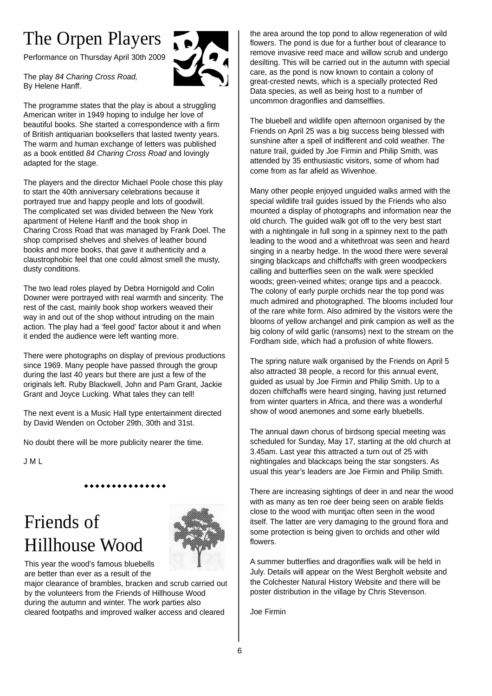## The Orpen Players

Performance on Thursday April 30th 2009



The play *84 Charing Cross Road,* By Helene Hanff.

The programme states that the play is about a struggling American writer in 1949 hoping to indulge her love of beautiful books. She started a correspondence with a firm of British antiquarian booksellers that lasted twenty years. The warm and human exchange of letters was published as a book entitled *84 Charing Cross Road* and lovingly adapted for the stage.

The players and the director Michael Poole chose this play to start the 40th anniversary celebrations because it portrayed true and happy people and lots of goodwill. The complicated set was divided between the New York apartment of Helene Hanff and the book shop in Charing Cross Road that was managed by Frank Doel. The shop comprised shelves and shelves of leather bound books and more books, that gave it authenticity and a claustrophobic feel that one could almost smell the musty, dusty conditions.

The two lead roles played by Debra Hornigold and Colin Downer were portrayed with real warmth and sincerity. The rest of the cast, mainly book shop workers weaved their way in and out of the shop without intruding on the main action. The play had a 'feel good' factor about it and when it ended the audience were left wanting more.

There were photographs on display of previous productions since 1969. Many people have passed through the group during the last 40 years but there are just a few of the originals left. Ruby Blackwell, John and Pam Grant, Jackie Grant and Joyce Lucking. What tales they can tell!

The next event is a Music Hall type entertainment directed by David Wenden on October 29th, 30th and 31st.

No doubt there will be more publicity nearer the time.

J M L

"""""""""""""""

## Friends of Hillhouse Wood



This year the wood's famous bluebells are better than ever as a result of the

major clearance of brambles, bracken and scrub carried out by the volunteers from the Friends of Hillhouse Wood during the autumn and winter. The work parties also cleared footpaths and improved walker access and cleared

the area around the top pond to allow regeneration of wild flowers. The pond is due for a further bout of clearance to remove invasive reed mace and willow scrub and undergo desilting. This will be carried out in the autumn with special care, as the pond is now known to contain a colony of great-crested newts, which is a specially protected Red Data species, as well as being host to a number of uncommon dragonflies and damselflies.

The bluebell and wildlife open afternoon organised by the Friends on April 25 was a big success being blessed with sunshine after a spell of indifferent and cold weather. The nature trail, guided by Joe Firmin and Philip Smith, was attended by 35 enthusiastic visitors, some of whom had come from as far afield as Wivenhoe.

Many other people enjoyed unguided walks armed with the special wildlife trail guides issued by the Friends who also mounted a display of photographs and information near the old church. The guided walk got off to the very best start with a nightingale in full song in a spinney next to the path leading to the wood and a whitethroat was seen and heard singing in a nearby hedge. In the wood there were several singing blackcaps and chiffchaffs with green woodpeckers calling and butterflies seen on the walk were speckled woods; green-veined whites; orange tips and a peacock. The colony of early purple orchids near the top pond was much admired and photographed. The blooms included four of the rare white form. Also admired by the visitors were the blooms of yellow archangel and pink campion as well as the big colony of wild garlic (ransoms) next to the stream on the Fordham side, which had a profusion of white flowers.

The spring nature walk organised by the Friends on April 5 also attracted 38 people, a record for this annual event, guided as usual by Joe Firmin and Philip Smith. Up to a dozen chiffchaffs were heard singing, having just returned from winter quarters in Africa, and there was a wonderful show of wood anemones and some early bluebells.

The annual dawn chorus of birdsong special meeting was scheduled for Sunday, May 17, starting at the old church at 3.45am. Last year this attracted a turn out of 25 with nightingales and blackcaps being the star songsters. As usual this year's leaders are Joe Firmin and Philip Smith.

There are increasing sightings of deer in and near the wood with as many as ten roe deer being seen on arable fields close to the wood with muntjac often seen in the wood itself. The latter are very damaging to the ground flora and some protection is being given to orchids and other wild flowers.

A summer butterflies and dragonflies walk will be held in July. Details will appear on the West Bergholt website and the Colchester Natural History Website and there will be poster distribution in the village by Chris Stevenson.

Joe Firmin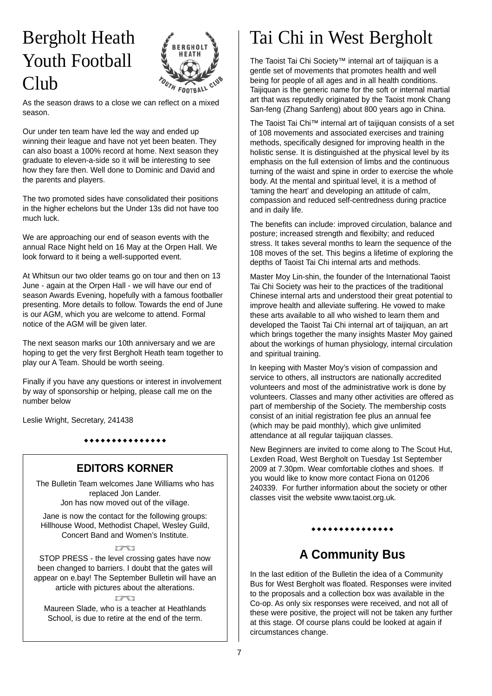## Bergholt Heath Youth Football Club



As the season draws to a close we can reflect on a mixed season.

Our under ten team have led the way and ended up winning their league and have not yet been beaten. They can also boast a 100% record at home. Next season they graduate to eleven-a-side so it will be interesting to see how they fare then. Well done to Dominic and David and the parents and players.

The two promoted sides have consolidated their positions in the higher echelons but the Under 13s did not have too much luck.

We are approaching our end of season events with the annual Race Night held on 16 May at the Orpen Hall. We look forward to it being a well-supported event.

At Whitsun our two older teams go on tour and then on 13 June - again at the Orpen Hall - we will have our end of season Awards Evening, hopefully with a famous footballer presenting. More details to follow. Towards the end of June is our AGM, which you are welcome to attend. Formal notice of the AGM will be given later.

The next season marks our 10th anniversary and we are hoping to get the very first Bergholt Heath team together to play our A Team. Should be worth seeing.

Finally if you have any questions or interest in involvement by way of sponsorship or helping, please call me on the number below

Leslie Wright, Secretary, 241438

#### \*\*\*\*\*\*\*\*\*\*\*\*\*

#### **EDITORS KORNER**

The Bulletin Team welcomes Jane Williams who has replaced Jon Lander.

Jon has now moved out of the village.

Jane is now the contact for the following groups: Hillhouse Wood, Methodist Chapel, Wesley Guild, Concert Band and Women's Institute.

#### **ITEL**

STOP PRESS - the level crossing gates have now been changed to barriers. I doubt that the gates will appear on e.bay! The September Bulletin will have an article with pictures about the alterations.

**ISEI** Maureen Slade, who is a teacher at Heathlands School, is due to retire at the end of the term.

## Tai Chi in West Bergholt

The Taoist Tai Chi Society™ internal art of taijiquan is a gentle set of movements that promotes health and well being for people of all ages and in all health conditions. Taijiquan is the generic name for the soft or internal martial art that was reputedly originated by the Taoist monk Chang San-feng (Zhang Sanfeng) about 800 years ago in China.

The Taoist Tai Chi™ internal art of taijiquan consists of a set of 108 movements and associated exercises and training methods, specifically designed for improving health in the holistic sense. It is distinguished at the physical level by its emphasis on the full extension of limbs and the continuous turning of the waist and spine in order to exercise the whole body. At the mental and spiritual level, it is a method of 'taming the heart' and developing an attitude of calm, compassion and reduced self-centredness during practice and in daily life.

The benefits can include: improved circulation, balance and posture; increased strength and flexibilty; and reduced stress. It takes several months to learn the sequence of the 108 moves of the set. This begins a lifetime of exploring the depths of Taoist Tai Chi internal arts and methods.

Master Moy Lin-shin, the founder of the International Taoist Tai Chi Society was heir to the practices of the traditional Chinese internal arts and understood their great potential to improve health and alleviate suffering. He vowed to make these arts available to all who wished to learn them and developed the Taoist Tai Chi internal art of taijiquan, an art which brings together the many insights Master Moy gained about the workings of human physiology, internal circulation and spiritual training.

In keeping with Master Moy's vision of compassion and service to others, all instructors are nationally accredited volunteers and most of the administrative work is done by volunteers. Classes and many other activities are offered as part of membership of the Society. The membership costs consist of an initial registration fee plus an annual fee (which may be paid monthly), which give unlimited attendance at all regular taijiquan classes.

New Beginners are invited to come along to The Scout Hut, Lexden Road, West Bergholt on Tuesday 1st September 2009 at 7.30pm. Wear comfortable clothes and shoes. If you would like to know more contact Fiona on 01206 240339. For further information about the society or other classes visit the website www.taoist.org.uk.

#### \*\*\*\*\*\*\*\*\*\*\*\*\*

### **A Community Bus**

In the last edition of the Bulletin the idea of a Community Bus for West Bergholt was floated. Responses were invited to the proposals and a collection box was available in the Co-op. As only six responses were received, and not all of these were positive, the project will not be taken any further at this stage. Of course plans could be looked at again if circumstances change.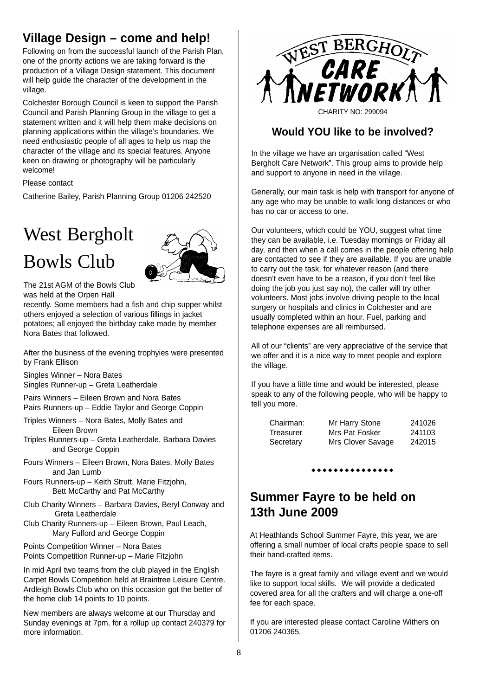### **Village Design – come and help!**

Following on from the successful launch of the Parish Plan, one of the priority actions we are taking forward is the production of a Village Design statement. This document will help quide the character of the development in the village.

Colchester Borough Council is keen to support the Parish Council and Parish Planning Group in the village to get a statement written and it will help them make decisions on planning applications within the village's boundaries. We need enthusiastic people of all ages to help us map the character of the village and its special features. Anyone keen on drawing or photography will be particularly welcome!

Please contact

Catherine Bailey, Parish Planning Group 01206 242520

## West Bergholt Bowls Club



The 21st AGM of the Bowls Club was held at the Orpen Hall

recently. Some members had a fish and chip supper whilst others enjoyed a selection of various fillings in jacket potatoes; all enjoyed the birthday cake made by member Nora Bates that followed.

After the business of the evening trophyies were presented by Frank Ellison

Singles Winner – Nora Bates Singles Runner-up – Greta Leatherdale

Pairs Winners – Eileen Brown and Nora Bates Pairs Runners-up – Eddie Taylor and George Coppin

- Triples Winners Nora Bates, Molly Bates and Eileen Brown
- Triples Runners-up Greta Leatherdale, Barbara Davies and George Coppin
- Fours Winners Eileen Brown, Nora Bates, Molly Bates and Jan Lumb
- Fours Runners-up Keith Strutt, Marie Fitzjohn, Bett McCarthy and Pat McCarthy
- Club Charity Winners Barbara Davies, Beryl Conway and Greta Leatherdale
- Club Charity Runners-up Eileen Brown, Paul Leach, Mary Fulford and George Coppin
- Points Competition Winner Nora Bates Points Competition Runner-up – Marie Fitzjohn

In mid April two teams from the club played in the English Carpet Bowls Competition held at Braintree Leisure Centre. Ardleigh Bowls Club who on this occasion got the better of the home club 14 points to 10 points.

New members are always welcome at our Thursday and Sunday evenings at 7pm, for a rollup up contact 240379 for more information.



#### **Would YOU like to be involved?**

In the village we have an organisation called "West Bergholt Care Network". This group aims to provide help and support to anyone in need in the village.

Generally, our main task is help with transport for anyone of any age who may be unable to walk long distances or who has no car or access to one.

Our volunteers, which could be YOU, suggest what time they can be available, i.e. Tuesday mornings or Friday all day, and then when a call comes in the people offering help are contacted to see if they are available. If you are unable to carry out the task, for whatever reason (and there doesn't even have to be a reason, if you don't feel like doing the job you just say no), the caller will try other volunteers. Most jobs involve driving people to the local surgery or hospitals and clinics in Colchester and are usually completed within an hour. Fuel, parking and telephone expenses are all reimbursed.

All of our "clients" are very appreciative of the service that we offer and it is a nice way to meet people and explore the village.

If you have a little time and would be interested, please speak to any of the following people, who will be happy to tell you more.

| Chairman: | Mr Harry Stone    | 241026 |
|-----------|-------------------|--------|
| Treasurer | Mrs Pat Fosker    | 241103 |
| Secretary | Mrs Clover Savage | 242015 |

#### ............

### **Summer Fayre to be held on 13th June 2009**

At Heathlands School Summer Fayre, this year, we are offering a small number of local crafts people space to sell their hand-crafted items.

The fayre is a great family and village event and we would like to support local skills. We will provide a dedicated covered area for all the crafters and will charge a one-off fee for each space.

If you are interested please contact Caroline Withers on 01206 240365.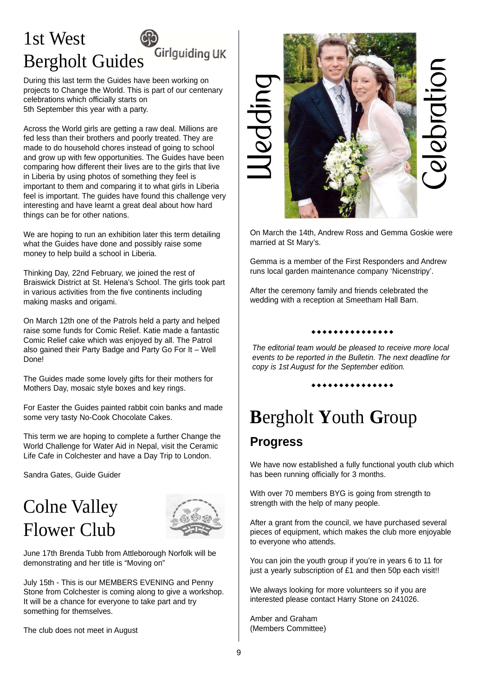### 1st West Girlguiding UK Bergholt Guides

During this last term the Guides have been working on projects to Change the World. This is part of our centenary celebrations which officially starts on 5th September this year with a party.

Across the World girls are getting a raw deal. Millions are fed less than their brothers and poorly treated. They are made to do household chores instead of going to school and grow up with few opportunities. The Guides have been comparing how different their lives are to the girls that live in Liberia by using photos of something they feel is important to them and comparing it to what girls in Liberia feel is important. The guides have found this challenge very interesting and have learnt a great deal about how hard things can be for other nations.

We are hoping to run an exhibition later this term detailing what the Guides have done and possibly raise some money to help build a school in Liberia.

Thinking Day, 22nd February, we joined the rest of Braiswick District at St. Helena's School. The girls took part in various activities from the five continents including making masks and origami.

On March 12th one of the Patrols held a party and helped raise some funds for Comic Relief. Katie made a fantastic Comic Relief cake which was enjoyed by all. The Patrol also gained their Party Badge and Party Go For It – Well Done!

The Guides made some lovely gifts for their mothers for Mothers Day, mosaic style boxes and key rings.

For Easter the Guides painted rabbit coin banks and made some very tasty No-Cook Chocolate Cakes.

This term we are hoping to complete a further Change the World Challenge for Water Aid in Nepal, visit the Ceramic Life Cafe in Colchester and have a Day Trip to London.

Sandra Gates, Guide Guider

## Colne Valley Flower Club



June 17th Brenda Tubb from Attleborough Norfolk will be demonstrating and her title is "Moving on"

July 15th - This is our MEMBERS EVENING and Penny Stone from Colchester is coming along to give a workshop. It will be a chance for everyone to take part and try something for themselves.

The club does not meet in August



On March the 14th, Andrew Ross and Gemma Goskie were married at St Mary's.

Gemma is a member of the First Responders and Andrew runs local garden maintenance company 'Nicenstripy'.

After the ceremony family and friends celebrated the wedding with a reception at Smeetham Hall Barn.

#### ............

*The editorial team would be pleased to receive more local events to be reported in the Bulletin. The next deadline for copy is 1st August for the September edition.*

\*\*\*\*\*\*\*\*\*\*\*\*\*

## **B**ergholt **Y**outh **G**roup

### **Progress**

We have now established a fully functional youth club which has been running officially for 3 months.

With over 70 members BYG is going from strength to strength with the help of many people.

After a grant from the council, we have purchased several pieces of equipment, which makes the club more enjoyable to everyone who attends.

You can join the youth group if you're in years 6 to 11 for just a yearly subscription of £1 and then 50p each visit!!

We always looking for more volunteers so if you are interested please contact Harry Stone on 241026.

Amber and Graham (Members Committee)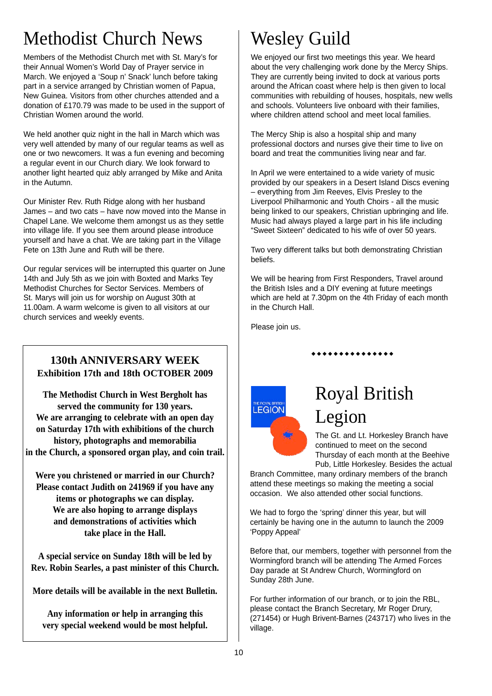## Methodist Church News

Members of the Methodist Church met with St. Mary's for their Annual Women's World Day of Prayer service in March. We enjoyed a 'Soup n' Snack' lunch before taking part in a service arranged by Christian women of Papua, New Guinea. Visitors from other churches attended and a donation of £170.79 was made to be used in the support of Christian Women around the world.

We held another quiz night in the hall in March which was very well attended by many of our regular teams as well as one or two newcomers. It was a fun evening and becoming a regular event in our Church diary. We look forward to another light hearted quiz ably arranged by Mike and Anita in the Autumn.

Our Minister Rev. Ruth Ridge along with her husband James – and two cats – have now moved into the Manse in Chapel Lane. We welcome them amongst us as they settle into village life. If you see them around please introduce yourself and have a chat. We are taking part in the Village Fete on 13th June and Ruth will be there.

Our regular services will be interrupted this quarter on June 14th and July 5th as we join with Boxted and Marks Tey Methodist Churches for Sector Services. Members of St. Marys will join us for worship on August 30th at 11.00am. A warm welcome is given to all visitors at our church services and weekly events.

#### **130th ANNIVERSARY WEEK Exhibition 17th and 18th OCTOBER 2009**

**The Methodist Church in West Bergholt has served the community for 130 years. We are arranging to celebrate with an open day on Saturday 17th with exhibitions of the church history, photographs and memorabilia in the Church, a sponsored organ play, and coin trail.**

**Were you christened or married in our Church? Please contact Judith on 241969 if you have any items or photographs we can display. We are also hoping to arrange displays and demonstrations of activities which take place in the Hall.**

**A special service on Sunday 18th will be led by Rev. Robin Searles, a past minister of this Church.** 

**More details will be available in the next Bulletin.** 

**Any information or help in arranging this very special weekend would be most helpful.**

## Wesley Guild

We enjoyed our first two meetings this year. We heard about the very challenging work done by the Mercy Ships. They are currently being invited to dock at various ports around the African coast where help is then given to local communities with rebuilding of houses, hospitals, new wells and schools. Volunteers live onboard with their families, where children attend school and meet local families.

The Mercy Ship is also a hospital ship and many professional doctors and nurses give their time to live on board and treat the communities living near and far.

In April we were entertained to a wide variety of music provided by our speakers in a Desert Island Discs evening – everything from Jim Reeves, Elvis Presley to the Liverpool Philharmonic and Youth Choirs - all the music being linked to our speakers, Christian upbringing and life. Music had always played a large part in his life including "Sweet Sixteen" dedicated to his wife of over 50 years.

Two very different talks but both demonstrating Christian beliefs.

We will be hearing from First Responders, Travel around the British Isles and a DIY evening at future meetings which are held at 7.30pm on the 4th Friday of each month in the Church Hall.

\*\*\*\*\*\*\*\*\*\*\*\*\*

Please join us.



## Royal British Legion

The Gt. and Lt. Horkesley Branch have continued to meet on the second Thursday of each month at the Beehive Pub, Little Horkesley. Besides the actual

Branch Committee, many ordinary members of the branch attend these meetings so making the meeting a social occasion. We also attended other social functions.

We had to forgo the 'spring' dinner this year, but will certainly be having one in the autumn to launch the 2009 'Poppy Appeal'

Before that, our members, together with personnel from the Wormingford branch will be attending The Armed Forces Day parade at St Andrew Church, Wormingford on Sunday 28th June.

For further information of our branch, or to join the RBL, please contact the Branch Secretary, Mr Roger Drury, (271454) or Hugh Brivent-Barnes (243717) who lives in the village.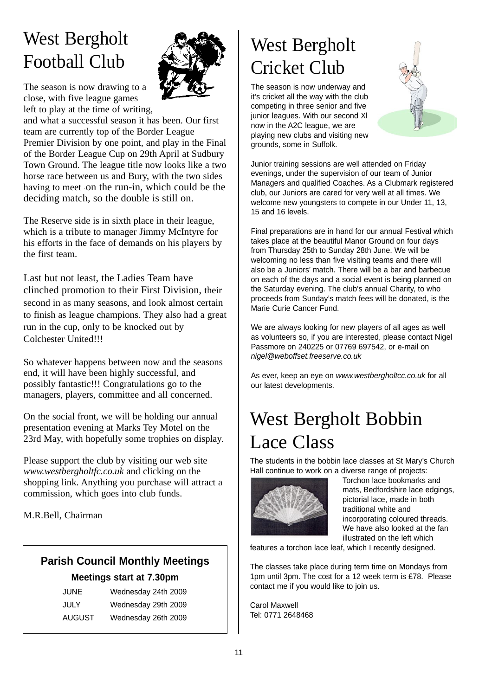## West Bergholt Football Club

The season is now drawing to a close, with five league games left to play at the time of writing,



The Reserve side is in sixth place in their league, which is a tribute to manager Jimmy McIntyre for his efforts in the face of demands on his players by the first team.

Last but not least, the Ladies Team have clinched promotion to their First Division, their second in as many seasons, and look almost certain to finish as league champions. They also had a great run in the cup, only to be knocked out by Colchester United!!!

So whatever happens between now and the seasons end, it will have been highly successful, and possibly fantastic!!! Congratulations go to the managers, players, committee and all concerned.

On the social front, we will be holding our annual presentation evening at Marks Tey Motel on the 23rd May, with hopefully some trophies on display.

Please support the club by visiting our web site *www.westbergholtfc.co.uk* and clicking on the shopping link. Anything you purchase will attract a commission, which goes into club funds.

M.R.Bell, Chairman

## **Parish Council Monthly Meetings**

**Meetings start at 7.30pm** JUNE Wednesday 24th 2009

| JUNE   | Wednesday Z4th Z009 |  |
|--------|---------------------|--|
| JULY   | Wednesday 29th 2009 |  |
| AUGUST | Wednesday 26th 2009 |  |



The season is now underway and it's cricket all the way with the club competing in three senior and five junior leagues. With our second XI now in the A2C league, we are playing new clubs and visiting new grounds, some in Suffolk.



Junior training sessions are well attended on Friday evenings, under the supervision of our team of Junior Managers and qualified Coaches. As a Clubmark registered club, our Juniors are cared for very well at all times. We welcome new youngsters to compete in our Under 11, 13, 15 and 16 levels.

Final preparations are in hand for our annual Festival which takes place at the beautiful Manor Ground on four days from Thursday 25th to Sunday 28th June. We will be welcoming no less than five visiting teams and there will also be a Juniors' match. There will be a bar and barbecue on each of the days and a social event is being planned on the Saturday evening. The club's annual Charity, to who proceeds from Sunday's match fees will be donated, is the Marie Curie Cancer Fund.

We are always looking for new players of all ages as well as volunteers so, if you are interested, please contact Nigel Passmore on 240225 or 07769 697542, or e-mail on *nigel@weboffset.freeserve.co.uk*

As ever, keep an eye on *www.westbergholtcc.co.uk* for all our latest developments.

## West Bergholt Bobbin Lace Class

The students in the bobbin lace classes at St Mary's Church Hall continue to work on a diverse range of projects:



Torchon lace bookmarks and mats, Bedfordshire lace edgings, pictorial lace, made in both traditional white and incorporating coloured threads. We have also looked at the fan illustrated on the left which

features a torchon lace leaf, which I recently designed.

The classes take place during term time on Mondays from 1pm until 3pm. The cost for a 12 week term is £78. Please contact me if you would like to join us.

Carol Maxwell Tel: 0771 2648468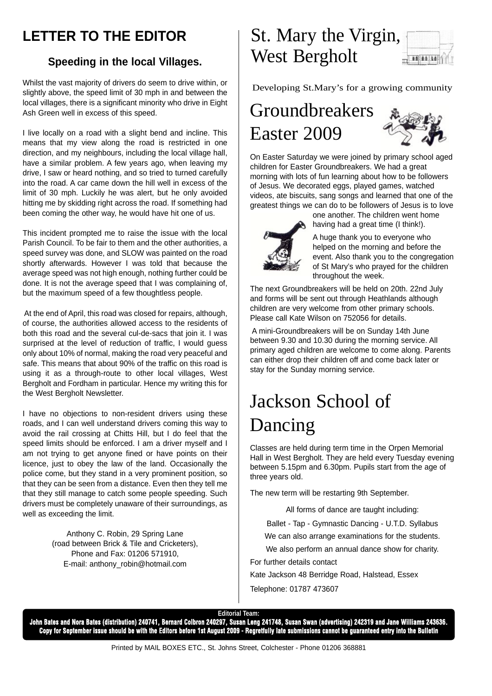### **LETTER TO THE EDITOR**

#### **Speeding in the local Villages.**

Whilst the vast majority of drivers do seem to drive within, or slightly above, the speed limit of 30 mph in and between the local villages, there is a significant minority who drive in Eight Ash Green well in excess of this speed.

I live locally on a road with a slight bend and incline. This means that my view along the road is restricted in one direction, and my neighbours, including the local village hall, have a similar problem. A few years ago, when leaving my drive, I saw or heard nothing, and so tried to turned carefully into the road. A car came down the hill well in excess of the limit of 30 mph. Luckily he was alert, but he only avoided hitting me by skidding right across the road. If something had been coming the other way, he would have hit one of us.

This incident prompted me to raise the issue with the local Parish Council. To be fair to them and the other authorities, a speed survey was done, and SLOW was painted on the road shortly afterwards. However I was told that because the average speed was not high enough, nothing further could be done. It is not the average speed that I was complaining of, but the maximum speed of a few thoughtless people.

At the end of April, this road was closed for repairs, although, of course, the authorities allowed access to the residents of both this road and the several cul-de-sacs that join it. I was surprised at the level of reduction of traffic. I would quess only about 10% of normal, making the road very peaceful and safe. This means that about 90% of the traffic on this road is using it as a through-route to other local villages, West Bergholt and Fordham in particular. Hence my writing this for the West Bergholt Newsletter.

I have no objections to non-resident drivers using these roads, and I can well understand drivers coming this way to avoid the rail crossing at Chitts Hill, but I do feel that the speed limits should be enforced. I am a driver myself and I am not trying to get anyone fined or have points on their licence, just to obey the law of the land. Occasionally the police come, but they stand in a very prominent position, so that they can be seen from a distance. Even then they tell me that they still manage to catch some people speeding. Such drivers must be completely unaware of their surroundings, as well as exceeding the limit.

> Anthony C. Robin, 29 Spring Lane (road between Brick & Tile and Cricketers), Phone and Fax: 01206 571910, E-mail: anthony\_robin@hotmail.com

## St. Mary the Virgin, West Bergholt



Developing St.Mary's for a growing community

## Groundbreakers Easter 2009



On Easter Saturday we were joined by primary school aged children for Easter Groundbreakers. We had a great morning with lots of fun learning about how to be followers of Jesus. We decorated eggs, played games, watched videos, ate biscuits, sang songs and learned that one of the greatest things we can do to be followers of Jesus is to love



one another. The children went home having had a great time (I think!).

A huge thank you to everyone who helped on the morning and before the event. Also thank you to the congregation of St Mary's who prayed for the children throughout the week.

The next Groundbreakers will be held on 20th. 22nd July and forms will be sent out through Heathlands although children are very welcome from other primary schools. Please call Kate Wilson on 752056 for details.

A mini-Groundbreakers will be on Sunday 14th June between 9.30 and 10.30 during the morning service. All primary aged children are welcome to come along. Parents can either drop their children off and come back later or stay for the Sunday morning service.

## Jackson School of Dancing

Classes are held during term time in the Orpen Memorial Hall in West Bergholt. They are held every Tuesday evening between 5.15pm and 6.30pm. Pupils start from the age of three years old.

The new term will be restarting 9th September.

All forms of dance are taught including:

Ballet - Tap - Gymnastic Dancing - U.T.D. Syllabus

We can also arrange examinations for the students.

We also perform an annual dance show for charity. For further details contact

Kate Jackson 48 Berridge Road, Halstead, Essex

Telephone: 01787 473607

#### **Editorial Team:**

**John Bates and Nora Bates (distribution) 240741, Bernard Colbron 240297, Susan Leng 241748, Susan Swan (advertising) 242319 and Jane Williams 243636. Copy for September issue should be with the Editors before 1st August 2009 - Regretfully late submissions cannot be guaranteed entry into the Bulletin**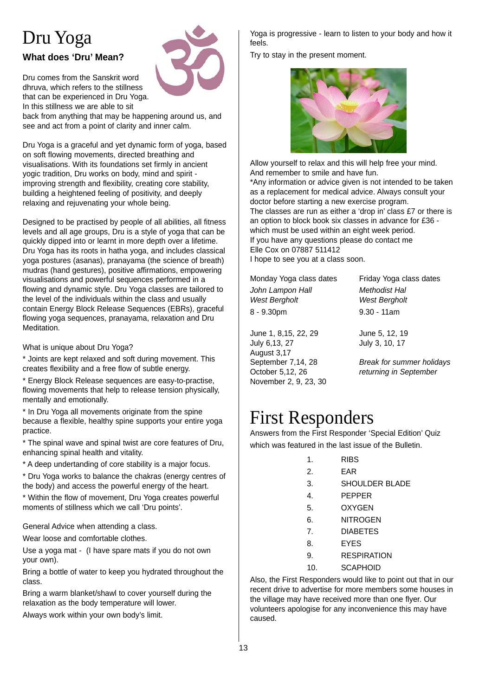## Dru Yoga

#### **What does 'Dru' Mean?**

Dru comes from the Sanskrit word dhruva, which refers to the stillness that can be experienced in Dru Yoga. In this stillness we are able to sit



back from anything that may be happening around us, and see and act from a point of clarity and inner calm.

Dru Yoga is a graceful and yet dynamic form of yoga, based on soft flowing movements, directed breathing and visualisations. With its foundations set firmly in ancient yogic tradition, Dru works on body, mind and spirit improving strength and flexibility, creating core stability, building a heightened feeling of positivity, and deeply relaxing and rejuvenating your whole being.

Designed to be practised by people of all abilities, all fitness levels and all age groups, Dru is a style of yoga that can be quickly dipped into or learnt in more depth over a lifetime. Dru Yoga has its roots in hatha yoga, and includes classical yoga postures (asanas), pranayama (the science of breath) mudras (hand gestures), positive affirmations, empowering visualisations and powerful sequences performed in a flowing and dynamic style. Dru Yoga classes are tailored to the level of the individuals within the class and usually contain Energy Block Release Sequences (EBRs), graceful flowing yoga sequences, pranayama, relaxation and Dru Meditation.

What is unique about Dru Yoga?

\* Joints are kept relaxed and soft during movement. This creates flexibility and a free flow of subtle energy.

\* Energy Block Release sequences are easy-to-practise, flowing movements that help to release tension physically, mentally and emotionally.

\* In Dru Yoga all movements originate from the spine because a flexible, healthy spine supports your entire yoga practice.

\* The spinal wave and spinal twist are core features of Dru, enhancing spinal health and vitality.

\* A deep undertanding of core stability is a major focus.

\* Dru Yoga works to balance the chakras (energy centres of the body) and access the powerful energy of the heart.

\* Within the flow of movement, Dru Yoga creates powerful moments of stillness which we call 'Dru points'.

General Advice when attending a class.

Wear loose and comfortable clothes.

Use a yoga mat - (I have spare mats if you do not own your own).

Bring a bottle of water to keep you hydrated throughout the class.

Bring a warm blanket/shawl to cover yourself during the relaxation as the body temperature will lower.

Always work within your own body's limit.

Yoga is progressive - learn to listen to your body and how it feels.

Try to stay in the present moment.



Allow yourself to relax and this will help free your mind. And remember to smile and have fun.

\*Any information or advice given is not intended to be taken as a replacement for medical advice. Always consult your doctor before starting a new exercise program. The classes are run as either a 'drop in' class £7 or there is an option to block book six classes in advance for £36 which must be used within an eight week period. If you have any questions please do contact me Elle Cox on 07887 511412

I hope to see you at a class soon.

*John Lampon Hall Methodist Hal West Bergholt West Bergholt*  8 - 9.30pm 9.30 - 11am

June 1, 8,15, 22, 29 June 5, 12, 19 July 6,13, 27 July 3, 10, 17 August 3,17 November 2, 9, 23, 30

Monday Yoga class dates Friday Yoga class dates

September 7,14, 28 *Break for summer holidays* October 5,12, 26 *returning in September* 

### First Responders

Answers from the First Responder 'Special Edition' Quiz which was featured in the last issue of the Bulletin.

| <b>RIBS</b> |  |
|-------------|--|
|-------------|--|

- 2. EAR
- 3. SHOULDER BLADE
- 4. PEPPER
- 5. OXYGEN
- 6. NITROGEN
- 7. DIABETES
- 8. EYES
- 9. RESPIRATION
- 10. SCAPHOID

Also, the First Responders would like to point out that in our recent drive to advertise for more members some houses in the village may have received more than one flyer. Our volunteers apologise for any inconvenience this may have caused.